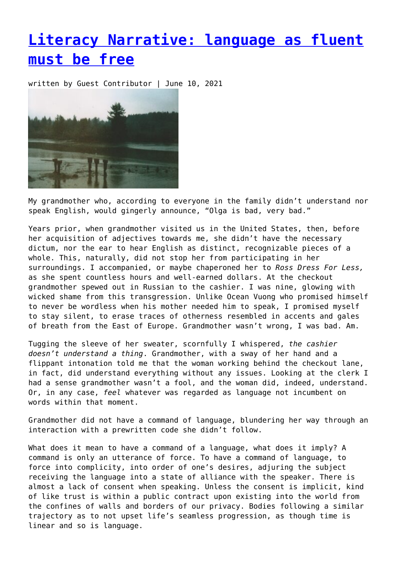## **[Literacy Narrative: language as fluent](https://entropymag.org/literacy-narrative-language-as-fluent-must-be-free/) [must be free](https://entropymag.org/literacy-narrative-language-as-fluent-must-be-free/)**

written by Guest Contributor | June 10, 2021



My grandmother who, according to everyone in the family didn't understand nor speak English, would gingerly announce, "Olga is bad, very bad."

Years prior, when grandmother visited us in the United States, then, before her acquisition of adjectives towards me, she didn't have the necessary dictum, nor the ear to hear English as distinct, recognizable pieces of a whole. This, naturally, did not stop her from participating in her surroundings. I accompanied, or maybe chaperoned her to *Ross Dress For Less,* as she spent countless hours and well-earned dollars. At the checkout grandmother spewed out in Russian to the cashier. I was nine, glowing with wicked shame from this transgression. Unlike Ocean Vuong who promised himself to never be wordless when his mother needed him to speak, I promised myself to stay silent, to erase traces of otherness resembled in accents and gales of breath from the East of Europe. Grandmother wasn't wrong, I was bad. Am.

Tugging the sleeve of her sweater, scornfully I whispered, *the cashier doesn't understand a thing*. Grandmother, with a sway of her hand and a flippant intonation told me that the woman working behind the checkout lane, in fact, did understand everything without any issues. Looking at the clerk I had a sense grandmother wasn't a fool, and the woman did, indeed, understand. Or, in any case, *feel* whatever was regarded as language not incumbent on words within that moment.

Grandmother did not have a command of language, blundering her way through an interaction with a prewritten code she didn't follow.

What does it mean to have a command of a language, what does it imply? A command is only an utterance of force. To have a command of language, to force into complicity, into order of one's desires, adjuring the subject receiving the language into a state of alliance with the speaker. There is almost a lack of consent when speaking. Unless the consent is implicit, kind of like trust is within a public contract upon existing into the world from the confines of walls and borders of our privacy. Bodies following a similar trajectory as to not upset life's seamless progression, as though time is linear and so is language.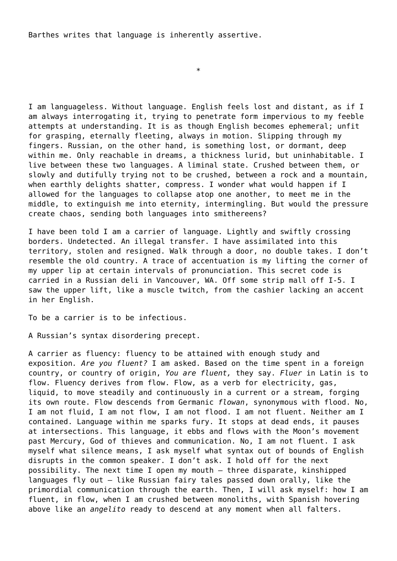Barthes writes that language is inherently assertive.

\*

I am languageless. Without language. English feels lost and distant, as if I am always interrogating it, trying to penetrate form impervious to my feeble attempts at understanding. It is as though English becomes ephemeral; unfit for grasping, eternally fleeting, always in motion. Slipping through my fingers. Russian, on the other hand, is something lost, or dormant, deep within me. Only reachable in dreams, a thickness lurid, but uninhabitable. I live between these two languages. A liminal state. Crushed between them, or slowly and dutifully trying not to be crushed, between a rock and a mountain, when earthly delights shatter, compress. I wonder what would happen if I allowed for the languages to collapse atop one another, to meet me in the middle, to extinguish me into eternity, intermingling. But would the pressure create chaos, sending both languages into smithereens?

I have been told I am a carrier of language. Lightly and swiftly crossing borders. Undetected. An illegal transfer. I have assimilated into this territory, stolen and resigned. Walk through a door, no double takes. I don't resemble the old country. A trace of accentuation is my lifting the corner of my upper lip at certain intervals of pronunciation. This secret code is carried in a Russian deli in Vancouver, WA. Off some strip mall off I-5. I saw the upper lift, like a muscle twitch, from the cashier lacking an accent in her English.

To be a carrier is to be infectious.

A Russian's syntax disordering precept.

A carrier as fluency: fluency to be attained with enough study and exposition*. Are you fluent?* I am asked. Based on the time spent in a foreign country, or country of origin, *You are fluent,* they say. *Fluer* in Latin is to flow. Fluency derives from flow. Flow, as a verb for electricity, gas, liquid, to move steadily and continuously in a current or a stream, forging its own route. Flow descends from Germanic *flowan*, synonymous with flood. No, I am not fluid, I am not flow, I am not flood. I am not fluent. Neither am I contained. Language within me sparks fury. It stops at dead ends, it pauses at intersections. This language, it ebbs and flows with the Moon's movement past Mercury, God of thieves and communication. No, I am not fluent. I ask myself what silence means, I ask myself what syntax out of bounds of English disrupts in the common speaker. I don't ask. I hold off for the next possibility. The next time I open my mouth — three disparate, kinshipped languages fly out — like Russian fairy tales passed down orally, like the primordial communication through the earth. Then, I will ask myself: how I am fluent, in flow, when I am crushed between monoliths, with Spanish hovering above like an *angelito* ready to descend at any moment when all falters.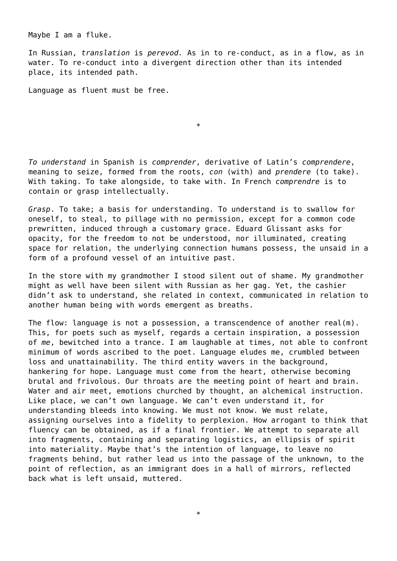Maybe I am a fluke.

In Russian, *translation* is *perevod.* As in to re-conduct, as in a flow, as in water. To re-conduct into a divergent direction other than its intended place, its intended path.

Language as fluent must be free.

\*

*To understand* in Spanish is *comprender*, derivative of Latin's *comprendere*, meaning to seize, formed from the roots, *con* (with) and *prendere* (to take). With taking. To take alongside, to take with. In French *comprendre* is to contain or grasp intellectually.

*Grasp*. To take; a basis for understanding. To understand is to swallow for oneself, to steal, to pillage with no permission, except for a common code prewritten, induced through a customary grace. Eduard Glissant asks for opacity, for the freedom to not be understood, nor illuminated, creating space for relation, the underlying connection humans possess, the unsaid in a form of a profound vessel of an intuitive past.

In the store with my grandmother I stood silent out of shame. My grandmother might as well have been silent with Russian as her gag. Yet, the cashier didn't ask to understand, she related in context, communicated in relation to another human being with words emergent as breaths.

The flow: language is not a possession, a transcendence of another real(m). This, for poets such as myself, regards a certain inspiration, a possession of *me*, bewitched into a trance. I am laughable at times, not able to confront minimum of words ascribed to the poet. Language eludes me, crumbled between loss and unattainability. The third entity wavers in the background, hankering for hope. Language must come from the heart, otherwise becoming brutal and frivolous. Our throats are the meeting point of heart and brain. Water and air meet, emotions churched by thought, an alchemical instruction. Like place, we can't own language. We can't even understand it, for understanding bleeds into knowing. We must not know. We must relate, assigning ourselves into a fidelity to perplexion. How arrogant to think that fluency can be obtained, as if a final frontier. We attempt to separate all into fragments, containing and separating logistics, an ellipsis of spirit into materiality. Maybe that's the intention of language, to leave no fragments behind, but rather lead us into the passage of the unknown, to the point of reflection, as an immigrant does in a hall of mirrors, reflected back what is left unsaid, muttered.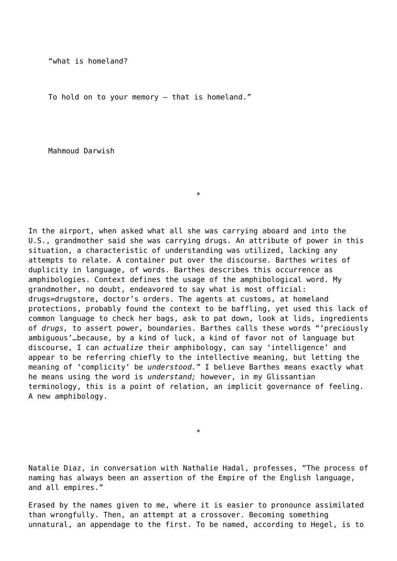"what is homeland?

To hold on to your memory — that is homeland."

Mahmoud Darwish

In the airport, when asked what all she was carrying aboard and into the U.S., grandmother said she was carrying drugs. An attribute of power in this situation, a characteristic of understanding was utilized, lacking any attempts to relate. A container put over the discourse. Barthes writes of duplicity in language, of words. Barthes describes this occurrence as amphibologies. Context defines the usage of the amphibological word. My grandmother, no doubt, endeavored to say what is most official: drugs=drugstore, doctor's orders. The agents at customs, at homeland protections, probably found the context to be baffling, yet used this lack of common language to check her bags, ask to pat down, look at lids, ingredients of *drugs,* to assert power, boundaries. Barthes calls these words "'preciously ambiguous'…because, by a kind of luck, a kind of favor not of language but discourse, I can *actualize* their amphibology, can say 'intelligence' and appear to be referring chiefly to the intellective meaning, but letting the meaning of 'complicity' be *understood."* I believe Barthes means exactly what he means using the word is *understand;* however, in my Glissantian terminology, this is a point of relation, an implicit governance of feeling. A new amphibology.

\*

Natalie Diaz, in conversation with Nathalie Hadal, professes, "The process of naming has always been an assertion of the Empire of the English language, and all empires."

\*

Erased by the names given to me, where it is easier to pronounce assimilated than wrongfully. Then, an attempt at a crossover. Becoming something unnatural, an appendage to the first. To be named, according to Hegel, is to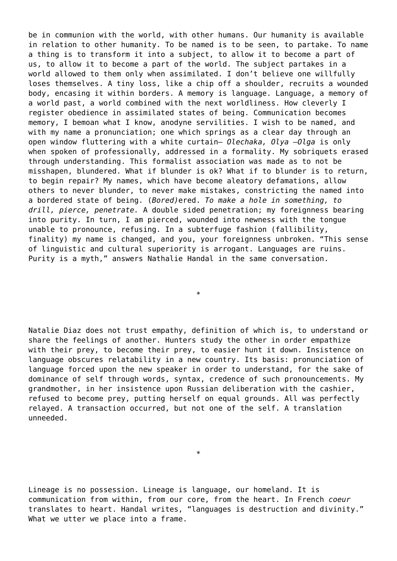be in communion with the world, with other humans. Our humanity is available in relation to other humanity. To be named is to be seen, to partake. To name a thing is to transform it into a subject, to allow it to become a part of us, to allow it to become a part of the world. The subject partakes in a world allowed to them only when assimilated. I don't believe one willfully loses themselves. A tiny loss, like a chip off a shoulder, recruits a wounded body, encasing it within borders. A memory is language. Language, a memory of a world past, a world combined with the next worldliness. How cleverly I register obedience in assimilated states of being. Communication becomes memory, I bemoan what I know, anodyne servilities. I wish to be named, and with my name a pronunciation; one which springs as a clear day through an open window fluttering with a white curtain— *Olechaka, Olya —Olga* is only when spoken of professionally, addressed in a formality. My sobriquets erased through understanding. This formalist association was made as to not be misshapen, blundered. What if blunder is ok? What if to blunder is to return, to begin repair? My names, which have become aleatory defamations, allow others to never blunder, to never make mistakes, constricting the named into a bordered state of being. (*Bored)*ered. *To make a hole in something, to drill, pierce, penetrate.* A double sided penetration; my foreignness bearing into purity. In turn, I am pierced, wounded into newness with the tongue unable to pronounce, refusing. In a subterfuge fashion (fallibility, finality) my name is changed, and you, your foreignness unbroken. "This sense of linguistic and cultural superiority is arrogant. Languages are ruins. Purity is a myth," answers Nathalie Handal in the same conversation.

Natalie Diaz does not trust empathy, definition of which is, to understand or share the feelings of another. Hunters study the other in order empathize with their prey, to become their prey, to easier hunt it down. Insistence on language obscures relatability in a new country. Its basis: pronunciation of language forced upon the new speaker in order to understand, for the sake of dominance of self through words, syntax, credence of such pronouncements. My grandmother, in her insistence upon Russian deliberation with the cashier, refused to become prey, putting herself on equal grounds. All was perfectly relayed. A transaction occurred, but not one of the self. A translation unneeded.

\*

Lineage is no possession. Lineage is language, our homeland. It is communication from within, from our core, from the heart. In French *coeur* translates to heart. Handal writes, "languages is destruction and divinity." What we utter we place into a frame.